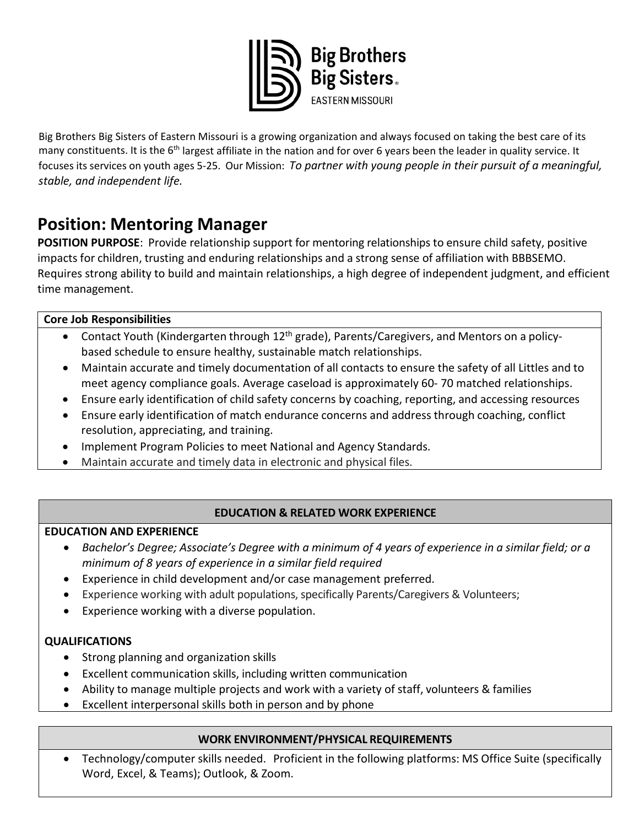

Big Brothers Big Sisters of Eastern Missouri is a growing organization and always focused on taking the best care of its many constituents. It is the  $6<sup>th</sup>$  largest affiliate in the nation and for over 6 years been the leader in quality service. It focuses its services on youth ages 5-25. Our Mission: *To partner with young people in their pursuit of a meaningful, stable, and independent life.* 

# **Position: Mentoring Manager**

**POSITION PURPOSE**: Provide relationship support for mentoring relationships to ensure child safety, positive impacts for children, trusting and enduring relationships and a strong sense of affiliation with BBBSEMO. Requires strong ability to build and maintain relationships, a high degree of independent judgment, and efficient time management.

## **Core Job Responsibilities**

- Contact Youth (Kindergarten through 12<sup>th</sup> grade), Parents/Caregivers, and Mentors on a policybased schedule to ensure healthy, sustainable match relationships.
- Maintain accurate and timely documentation of all contacts to ensure the safety of all Littles and to meet agency compliance goals. Average caseload is approximately 60- 70 matched relationships.
- Ensure early identification of child safety concerns by coaching, reporting, and accessing resources
- Ensure early identification of match endurance concerns and address through coaching, conflict resolution, appreciating, and training.
- Implement Program Policies to meet National and Agency Standards.
- Maintain accurate and timely data in electronic and physical files.

## **EDUCATION & RELATED WORK EXPERIENCE**

## **EDUCATION AND EXPERIENCE**

- *Bachelor's Degree; Associate's Degree with a minimum of 4 years of experience in a similar field; or a minimum of 8 years of experience in a similar field required*
- Experience in child development and/or case management preferred.
- Experience working with adult populations, specifically Parents/Caregivers & Volunteers;
- Experience working with a diverse population.

## **QUALIFICATIONS**

- Strong planning and organization skills
- Excellent communication skills, including written communication
- Ability to manage multiple projects and work with a variety of staff, volunteers & families
- Excellent interpersonal skills both in person and by phone

## **WORK ENVIRONMENT/PHYSICAL REQUIREMENTS**

• Technology/computer skills needed. Proficient in the following platforms: MS Office Suite (specifically Word, Excel, & Teams); Outlook, & Zoom.